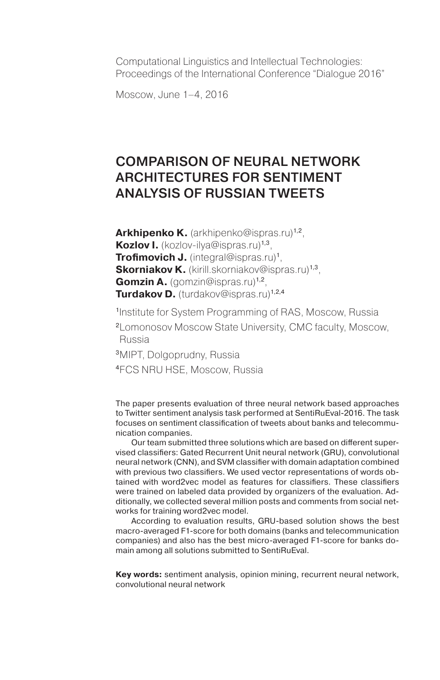Computational Linguistics and Intellectual Technologies: Proceedings of the International Conference "Dialogue 2016"

Moscow, June 1–4, 2016

# Comparison of Neural Network Architectures for Sentiment Analysis of Russian Tweets

Arkhipenko K. (arkhipenko@ispras.ru)<sup>1,2</sup>. **Kozlov I.** (kozlov-ilya@ispras.ru)1,3, **Trofimovich J.** (integral@ispras.ru)<sup>1</sup>, **Skorniakov K.** (kirill.skorniakov@ispras.ru)<sup>1,3</sup>, **Gomzin A.** (gomzin@ispras.ru)<sup>1,2</sup>, **Turdakov D.** (turdakov@ispras.ru)<sup>1,2,4</sup>

<sup>1</sup>Institute for System Programming of RAS, Moscow, Russia

<sup>2</sup>Lomonosov Moscow State University, CMC faculty, Moscow, Russia

<sup>3</sup>MIPT, Dolgoprudny, Russia

<sup>4</sup>FCS NRU HSE, Moscow, Russia

The paper presents evaluation of three neural network based approaches to Twitter sentiment analysis task performed at SentiRuEval-2016. The task focuses on sentiment classification of tweets about banks and telecommunication companies.

Our team submitted three solutions which are based on different supervised classifiers: Gated Recurrent Unit neural network (GRU), convolutional neural network (CNN), and SVM classifier with domain adaptation combined with previous two classifiers. We used vector representations of words obtained with word2vec model as features for classifiers. These classifiers were trained on labeled data provided by organizers of the evaluation. Additionally, we collected several million posts and comments from social networks for training word2vec model.

According to evaluation results, GRU-based solution shows the best macro-averaged F1-score for both domains (banks and telecommunication companies) and also has the best micro-averaged F1-score for banks domain among all solutions submitted to SentiRuEval.

**Key words:** sentiment analysis, opinion mining, recurrent neural network, convolutional neural network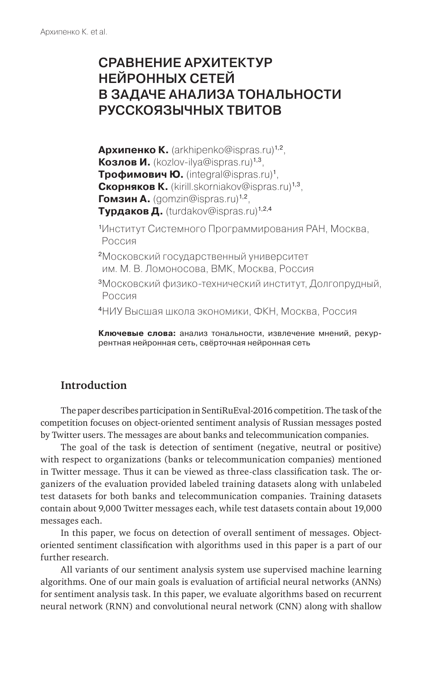# Сравнение архитектур нейронных Сетей в задаче анализа тональноСти руССкоязычных твитов

**Архипенко К.** (arkhipenko@ispras.ru)1,2, **Козлов И.** (kozlov-ilya@ispras.ru)1,3, **Трофимович Ю.** (integral@ispras.ru)1, **Скорняков К.** (kirill.skorniakov@ispras.ru)1,3, **Гомзин А.** (gomzin@ispras.ru)<sup>1,2</sup>, **Турдаков Д.** (turdakov@ispras.ru)<sup>1,2,4</sup>

<sup>1</sup>Институт Системного Программирования РАН, Москва, Россия

- <sup>2</sup>Московский государственный университет им. М. В. Ломоносова, ВМК, Москва, Россия
- <sup>3</sup>Московский физико-технический институт, Долгопрудный, Россия

<sup>4</sup>НИУ Высшая школа экономики, ФКН, Москва, Россия

**Ключевые слова:** анализ тональности, извлечение мнений, рекуррентная нейронная сеть, свёрточная нейронная сеть

### **Introduction**

The paper describes participation in SentiRuEval-2016 competition. The task of the competition focuses on object-oriented sentiment analysis of Russian messages posted by Twitter users. The messages are about banks and telecommunication companies.

The goal of the task is detection of sentiment (negative, neutral or positive) with respect to organizations (banks or telecommunication companies) mentioned in Twitter message. Thus it can be viewed as three-class classification task. The organizers of the evaluation provided labeled training datasets along with unlabeled test datasets for both banks and telecommunication companies. Training datasets contain about 9,000 Twitter messages each, while test datasets contain about 19,000 messages each.

In this paper, we focus on detection of overall sentiment of messages. Objectoriented sentiment classification with algorithms used in this paper is a part of our further research.

All variants of our sentiment analysis system use supervised machine learning algorithms. One of our main goals is evaluation of artificial neural networks (ANNs) for sentiment analysis task. In this paper, we evaluate algorithms based on recurrent neural network (RNN) and convolutional neural network (CNN) along with shallow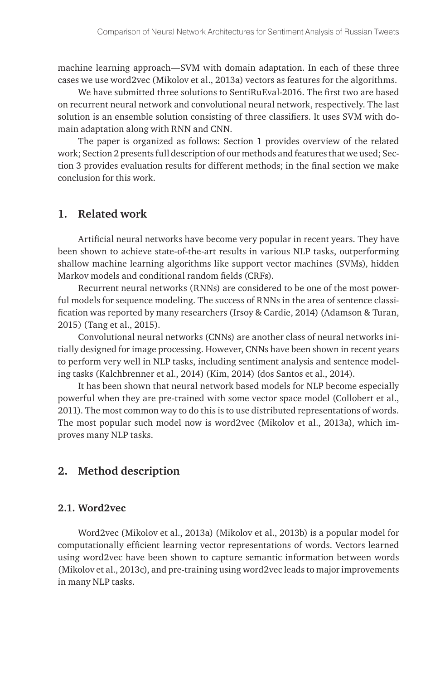machine learning approach—SVM with domain adaptation. In each of these three cases we use word2vec (Mikolov et al., 2013a) vectors as features for the algorithms.

We have submitted three solutions to SentiRuEval-2016. The first two are based on recurrent neural network and convolutional neural network, respectively. The last solution is an ensemble solution consisting of three classifiers. It uses SVM with domain adaptation along with RNN and CNN.

The paper is organized as follows: Section 1 provides overview of the related work; Section 2 presents full description of our methods and features that we used; Section 3 provides evaluation results for different methods; in the final section we make conclusion for this work.

#### **1. Related work**

Artificial neural networks have become very popular in recent years. They have been shown to achieve state-of-the-art results in various NLP tasks, outperforming shallow machine learning algorithms like support vector machines (SVMs), hidden Markov models and conditional random fields (CRFs).

Recurrent neural networks (RNNs) are considered to be one of the most powerful models for sequence modeling. The success of RNNs in the area of sentence classification was reported by many researchers (Irsoy & Cardie, 2014) (Adamson & Turan, 2015) (Tang et al., 2015).

Convolutional neural networks (CNNs) are another class of neural networks initially designed for image processing. However, CNNs have been shown in recent years to perform very well in NLP tasks, including sentiment analysis and sentence modeling tasks (Kalchbrenner et al., 2014) (Kim, 2014) (dos Santos et al., 2014).

It has been shown that neural network based models for NLP become especially powerful when they are pre-trained with some vector space model (Collobert et al., 2011). The most common way to do this is to use distributed representations of words. The most popular such model now is word2vec (Mikolov et al., 2013a), which improves many NLP tasks.

### **2. Method description**

#### **2.1. Word2vec**

Word2vec (Mikolov et al., 2013a) (Mikolov et al., 2013b) is a popular model for computationally efficient learning vector representations of words. Vectors learned using word2vec have been shown to capture semantic information between words (Mikolov et al., 2013c), and pre-training using word2vec leads to major improvements in many NLP tasks.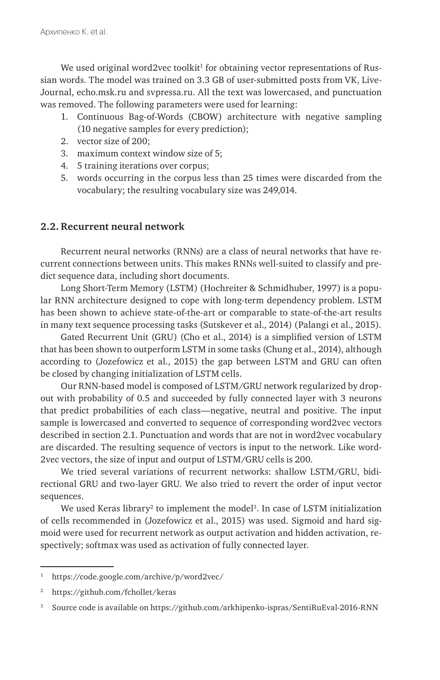We used original word2vec toolkit<sup>1</sup> for obtaining vector representations of Russian words. The model was trained on 3.3 GB of user-submitted posts from VK, Live-Journal, echo.msk.ru and svpressa.ru. All the text was lowercased, and punctuation was removed. The following parameters were used for learning:

- 1. Continuous Bag-of-Words (CBOW) architecture with negative sampling (10 negative samples for every prediction);
- 2. vector size of 200;
- 3. maximum context window size of 5;
- 4. 5 training iterations over corpus;
- 5. words occurring in the corpus less than 25 times were discarded from the vocabulary; the resulting vocabulary size was 249,014.

#### **2.2. Recurrent neural network**

Recurrent neural networks (RNNs) are a class of neural networks that have recurrent connections between units. This makes RNNs well-suited to classify and predict sequence data, inсluding short documents.

Long Short-Term Memory (LSTM) (Hochreiter & Schmidhuber, 1997) is a popular RNN architecture designed to cope with long-term dependency problem. LSTM has been shown to achieve state-of-the-art or comparable to state-of-the-art results in many text sequence processing tasks (Sutskever et al., 2014) (Palangi et al., 2015).

Gated Recurrent Unit (GRU) (Cho et al., 2014) is a simplified version of LSTM that has been shown to outperform LSTM in some tasks (Chung et al., 2014), although according to (Jozefowicz et al., 2015) the gap between LSTM and GRU can often be closed by changing initialization of LSTM cells.

Our RNN-based model is composed of LSTM/GRU network regularized by dropout with probability of 0.5 and succeeded by fully connected layer with 3 neurons that predict probabilities of each class—negative, neutral and positive. The input sample is lowercased and converted to sequence of corresponding word2vec vectors described in section 2.1. Punctuation and words that are not in word2vec vocabulary are discarded. The resulting sequence of vectors is input to the network. Like word-2vec vectors, the size of input and output of LSTM/GRU cells is 200.

We tried several variations of recurrent networks: shallow LSTM/GRU, bidirectional GRU and two-layer GRU. We also tried to revert the order of input vector sequences.

We used Keras library<sup>2</sup> to implement the model<sup>3</sup>. In case of LSTM initialization of cells recommended in (Jozefowicz et al., 2015) was used. Sigmoid and hard sigmoid were used for recurrent network as output activation and hidden activation, respectively; softmax was used as activation of fully connected layer.

<sup>1</sup> https://code.google.com/archive/p/word2vec/

<sup>2</sup> https://github.com/fchollet/keras

<sup>3</sup> Source code is available on https://github.com/arkhipenko-ispras/SentiRuEval-2016-RNN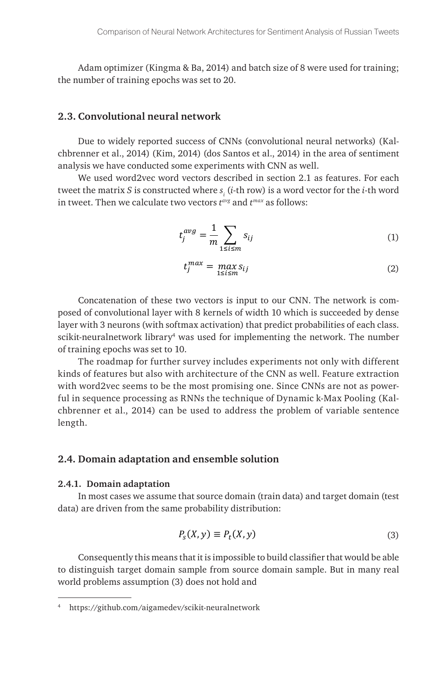Adam optimizer (Kingma & Ba, 2014) and batch size of 8 were used for training; the number of training epochs was set to 20.

#### **2.3. Convolutional neural network**

Due to widely reported success of CNNs (convolutional neural networks) (Kalchbrenner et al., 2014) (Kim, 2014) (dos Santos et al., 2014) in the area of sentiment analysis we have conducted some experiments with CNN as well.

We used word2vec word vectors described in section 2.1 as features. For each tweet the matrix *S* is constructed where  $s_{i}$  (*i*-th row) is a word vector for the *i*-th word in tweet. Then we calculate two vectors *tavg* and *tmax* as follows:

$$
t_j^{avg} = \frac{1}{m} \sum_{1 \le i \le m} s_{ij}
$$
 (1)

$$
t_j^{max} = \max_{1 \le i \le m} s_{ij} \tag{2}
$$

 $\eta$  ith 8 kernels of wid  $(0, \quad \alpha)$ Foncatenation of these two vectors is input to our Civiv. The network is com-<br>posed of convolutional layer with 8 kernels of width 10 which is succeeded by dense scikit-neuralnetwork library<sup>4</sup> was used for implementing the network. The number Concatenation of these two vectors is input to our CNN. The network is comlayer with 3 neurons (with softmax activation) that predict probabilities of each class. of training epochs was set to 10.

with word2vec seems to be the most promising one. Since CNNs are not as power- $\mathbf{r}$ kinds of features but also with architecture of the CNN as well. Feature extraction chbrenner et al., 2014) can be used to address the problem of variable sentence<br>length. The roadmap for further survey includes experiments not only with different ful in sequence processing as RNNs the technique of Dynamic k-Max Pooling (Kallength.

### 2.4. Domain adaptation and ensemble solution  $\mathbf{r}$

#### **2.4.1. Domain adaptation**

In most cases we assume that source domain (train data) and data) are driven from the same probability distribution:  $($  ,  $)$ In most cases we assume that source domain (train data) and target domain (test lower) in the state of the sta

$$
P_{s}(X, y) \equiv P_{t}(X, y) \tag{3}
$$

educing the means that it is impossible to band classifier that would be able to distinguish target domain sample from source domain sample. But in many real world problems assumption (3) does not hold and<br>———————————————————— Consequently this means that it is impossible to build classifier that would be able

<sup>=</sup> ( ,) ( ,) ( , , ) <sup>4</sup> https://github.com/aigamedev/scikit-neuralnetwork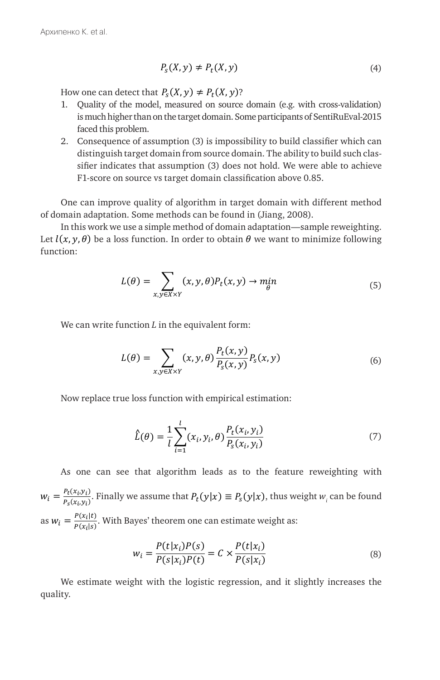$$
P_{s}(X, y) \neq P_{t}(X, y) \tag{4}
$$

How one can detect that  $P_s(X, y) \neq P_t(X, y)$ ?  $\frac{1}{2}$ 

- Frow one can detect that  $P_s(\lambda, y) \neq P_t(\lambda, y)$ ?<br>
1. Quality of the model, measured on source domain (e.g. with cross-validation) I. Quality of the model, measured on source domain (e.g. with cross-validation)<br>is much higher than on the target domain. Some participants of SentiRuEval-2015<br>focal this problem Is much ingher than on Let that  $P_s(X, y) \neq P_t(X, y)$ ?<br>
Exercise model, measured on source dom  $\frac{1}{2}$
- raccu ents problem.<br>
2. Consequence of assumption (3) is impossibility to build classifier which can<br>
distinguish target domain from source domain. The ability to build such also For indicates that assumption (3) does not hold. We were able to achieve siner marcates that assumption (5) does not note. We were a<br>F1-score on source vs target domain classification above 0.85. sifier indicates that assumption (3) does not hold. We were able to achieve  $F1$  seems on source us target domain alocsification above 0.95 faced this problem.<br>2. Consequence of assumption (3 nsequence of assumption

One can improve quality of algorithm in target domain with different method of domain adaptation. Some methods can be found in (Jiang, 2008). One can improve quality of algorit

Let  $l(x, y, \theta)$  be a loss function. In order to obtain  $\theta$  we want to minimize following  $\liminf$  adaptation. Some methods can be found in (starg, 2000).<br>In this work we use a simple method of domain adaptation—sample reweighting.  $function:$ 

$$
L(\theta) = \sum_{x,y \in X \times Y} (x, y, \theta) P_t(x, y) \to \min_{\theta} \tag{5}
$$

We can write function  $L$  in the equivalent form:  $\mathcal{L} = \mathcal{L} \times \mathcal{L}$  ,  $\mathcal{L} = \mathcal{L} \times \mathcal{L}$  $\frac{1}{2}$ 

$$
L(\theta) = \sum_{x,y \in X \times Y} (x, y, \theta) \frac{P_t(x, y)}{P_s(x, y)} P_s(x, y)
$$
(6)

Now replace true loss function with empirical estimation:<br>  $\begin{split} \text{Now replace true loss function with empirical estimation:} \end{split}$  $\mathbf{I}$  $\mathbf{r}$ 

$$
\hat{L}(\theta) = \frac{1}{l} \sum_{i=1}^{l} (x_i, y_i, \theta) \frac{P_t(x_i, y_i)}{P_s(x_i, y_i)}
$$
(7)

As one can see that algorithm leads as to the feature reweighting with  $w_i = \frac{P_t(x_i, y_i)}{P_s(x_i, y_i)}$ . Finally we assume that  $P_t(y|x) \equiv P_s(y|x)$ , thus weight  $w_i$  can be found yes<sup>,</sup> theore:<br>. as  $w_i = \frac{P(x_i|t)}{P(x_i|s)}$ . With Bayes' theorem one can estimate  $($ as  $w_i = \frac{P(x_i|t)}{P(x_i|s)}$ . With Bayes' theorem one can estimate weight as:

$$
w_i = \frac{P(t|x_i)P(s)}{P(s|x_i)P(t)} = C \times \frac{P(t|x_i)}{P(s|x_i)}
$$
(8)

We estimate weight with the logistic regression<br>
quality (| ) We estimate weight with the logistic regression, and it slightly increases the quality.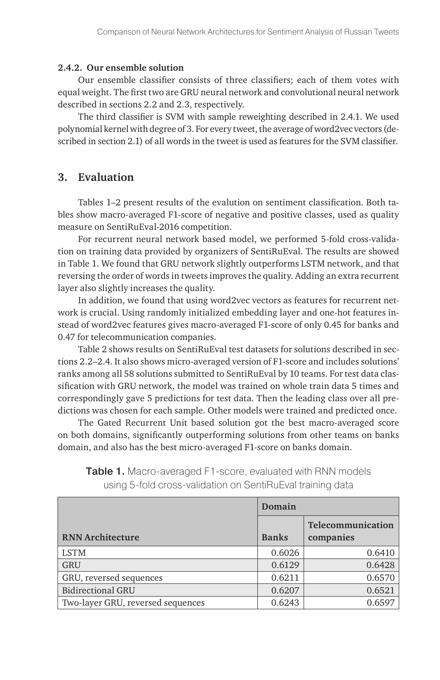#### **2.4.2. Our ensemble solution**

Our ensemble classifier consists of three classifiers; each of them votes with equal weight. The first two are GRU neural network and convolutional neural network described in sections 2.2 and 2.3, respectively.

The third classifier is SVM with sample reweighting described in 2.4.1. We used polynomial kernel with degree of 3. For every tweet, the average of word2vec vectors (described in section 2.1) of all words in the tweet is used as features for the SVM classifier.

### **3. Evaluation**

Tables 1–2 present results of the evalution on sentiment classification. Both tables show macro-averaged F1-score of negative and positive classes, used as quality measure on SentiRuEval-2016 competition.

For recurrent neural network based model, we performed 5-fold cross-validation on training data provided by organizers of SentiRuEval. The results are showed in Table 1. We found that GRU network slightly outperforms LSTM network, and that reversing the order of words in tweets improves the quality. Adding an extra recurrent layer also slightly increases the quality.

In addition, we found that using word2vec vectors as features for recurrent network is crucial. Using randomly initialized embedding layer and one-hot features instead of word2vec features gives macro-averaged F1-score of only 0.45 for banks and 0.47 for telecommunication companies.

Table 2 shows results on SentiRuEval test datasets for solutions described in sections 2.2–2.4. It also shows micro-averaged version of F1-score and includes solutions' ranks among all 58 solutions submitted to SentiRuEval by 10 teams. For test data classification with GRU network, the model was trained on whole train data 5 times and correspondingly gave 5 predictions for test data. Then the leading class over all predictions was chosen for each sample. Other models were trained and predicted once.

The Gated Recurrent Unit based solution got the best macro-averaged score on both domains, significantly outperforming solutions from other teams on banks domain, and also has the best micro-averaged F1-score on banks domain.

|                                   | Domain       |                                |  |
|-----------------------------------|--------------|--------------------------------|--|
| <b>RNN Architecture</b>           | <b>Banks</b> | Telecommunication<br>companies |  |
| <b>LSTM</b>                       | 0.6026       | 0.6410                         |  |
| <b>GRU</b>                        | 0.6129       | 0.6428                         |  |
| GRU, reversed sequences           | 0.6211       | 0.6570                         |  |
| <b>Bidirectional GRU</b>          | 0.6207       | 0.6521                         |  |
| Two-layer GRU, reversed sequences | 0.6243       | 0.6597                         |  |

Table 1. Macro-averaged F1-score, evaluated with RNN models using 5-fold cross-validation on SentiRuEval training data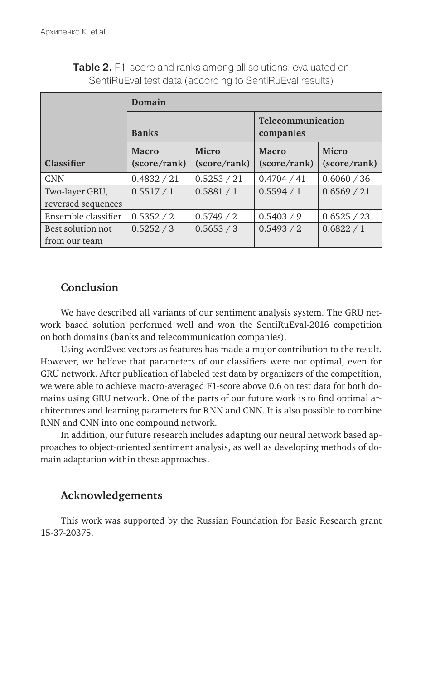|                                      | Domain                       |                              |                                |                              |  |
|--------------------------------------|------------------------------|------------------------------|--------------------------------|------------------------------|--|
|                                      | <b>Banks</b>                 |                              | Telecommunication<br>companies |                              |  |
| Classifier                           | <b>Macro</b><br>(score/rank) | <b>Micro</b><br>(score/rank) | <b>Macro</b><br>(score/rank)   | <b>Micro</b><br>(score/rank) |  |
| <b>CNN</b>                           | 0.4832 / 21                  | 0.5253 / 21                  | 0.4704 / 41                    | 0.6060 / 36                  |  |
| Two-layer GRU,<br>reversed sequences | 0.5517/1                     | 0.5881 / 1                   | 0.5594/1                       | 0.6569 / 21                  |  |
| Ensemble classifier                  | 0.5352 / 2                   | 0.5749 / 2                   | 0.5403 / 9                     | 0.6525 / 23                  |  |
| Best solution not<br>from our team   | 0.5252 / 3                   | 0.5653 / 3                   | 0.5493 / 2                     | 0.6822 / 1                   |  |

Table 2. F1-score and ranks among all solutions, evaluated on SentiRuEval test data (according to SentiRuEval results)

### **Conclusion**

We have described all variants of our sentiment analysis system. The GRU network based solution performed well and won the SentiRuEval-2016 competition on both domains (banks and telecommunication companies).

Using word2vec vectors as features has made a major contribution to the result. However, we believe that parameters of our classifiers were not optimal, even for GRU network. After publication of labeled test data by organizers of the competition, we were able to achieve macro-averaged F1-score above 0.6 on test data for both domains using GRU network. One of the parts of our future work is to find optimal architectures and learning parameters for RNN and CNN. It is also possible to combine RNN and CNN into one compound network.

In addition, our future research includes adapting our neural network based approaches to object-oriented sentiment analysis, as well as developing methods of domain adaptation within these approaches.

## **Acknowledgements**

This work was supported by the Russian Foundation for Basic Research grant 15-37-20375.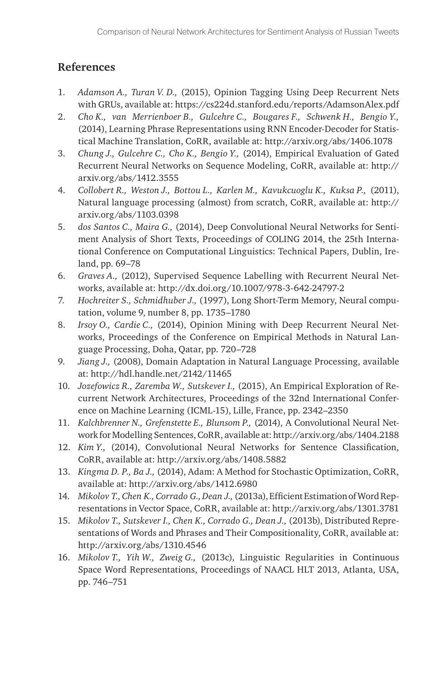## **References**

- 1. *Adamson A., Turan V. D.,* (2015), Opinion Tagging Using Deep Recurrent Nets with GRUs, available at: https://cs224d.stanford.edu/reports/AdamsonAlex.pdf
- 2. *Cho K., van Merrienboer B., Gulcehre C., Bougares F., Schwenk H., Bengio Y.,*  (2014), Learning Phrase Representations using RNN Encoder-Decoder for Statistical Machine Translation, CoRR, available at: http://arxiv.org/abs/1406.1078
- 3. *Chung J., Gulcehre C., Cho K., Bengio Y.,* (2014), Empirical Evaluation of Gated Recurrent Neural Networks on Sequence Modeling, CoRR, available at: http:// arxiv.org/abs/1412.3555
- 4. *Collobert R., Weston J., Bottou L., Karlen M., Kavukcuoglu K., Kuksa P.,* (2011), Natural language processing (almost) from scratch, CoRR, available at: http:// arxiv.org/abs/1103.0398
- 5. *dos Santos C., Maira G.,* (2014), Deep Convolutional Neural Networks for Sentiment Analysis of Short Texts, Proceedings of COLING 2014, the 25th International Conference on Computational Linguistics: Technical Papers, Dublin, Ireland, pp. 69–78
- 6. *Graves A.,* (2012), Supervised Sequence Labelling with Recurrent Neural Networks, available at: http://dx.doi.org/10.1007/978-3-642-24797-2
- 7. *Hochreiter S., Schmidhuber J.,* (1997), Long Short-Term Memory, Neural computation, volume 9, number 8, pp. 1735–1780
- 8. *Irsoy O., Cardie C.,* (2014), Opinion Mining with Deep Recurrent Neural Networks, Proceedings of the Conference on Empirical Methods in Natural Language Processing, Doha, Qatar, pp. 720–728
- 9. *Jiang J.,* (2008), Domain Adaptation in Natural Language Processing, available at: http://hdl.handle.net/2142/11465
- 10. *Jozefowicz R., Zaremba W., Sutskever I.,* (2015), An Empirical Exploration of Recurrent Network Architectures, Proceedings of the 32nd International Conference on Machine Learning (ICML-15), Lille, France, pp. 2342–2350
- 11. *Kalchbrenner N., Grefenstette E., Blunsom P.,* (2014), A Convolutional Neural Network for Modelling Sentences, CoRR, available at: http://arxiv.org/abs/1404.2188
- 12. *Kim Y.,* (2014), Convolutional Neural Networks for Sentence Classification, CoRR, available at: http://arxiv.org/abs/1408.5882
- 13. *Kingma D. P., Ba J.,* (2014), Adam: A Method for Stochastic Optimization, CoRR, available at: http://arxiv.org/abs/1412.6980
- 14. *Mikolov T., Chen K., Corrado G., Dean J.,* (2013a), Efficient Estimation of Word Representations in Vector Space, CoRR, available at: http://arxiv.org/abs/1301.3781
- 15. *Mikolov T., Sutskever I., Chen K., Corrado G., Dean J.,* (2013b), Distributed Representations of Words and Phrases and Their Compositionality, CoRR, available at: http://arxiv.org/abs/1310.4546
- 16. *Mikolov T., Yih W., Zweig G.,* (2013c), Linguistic Regularities in Continuous Space Word Representations, Proceedings of NAACL HLT 2013, Atlanta, USA, pp. 746–751